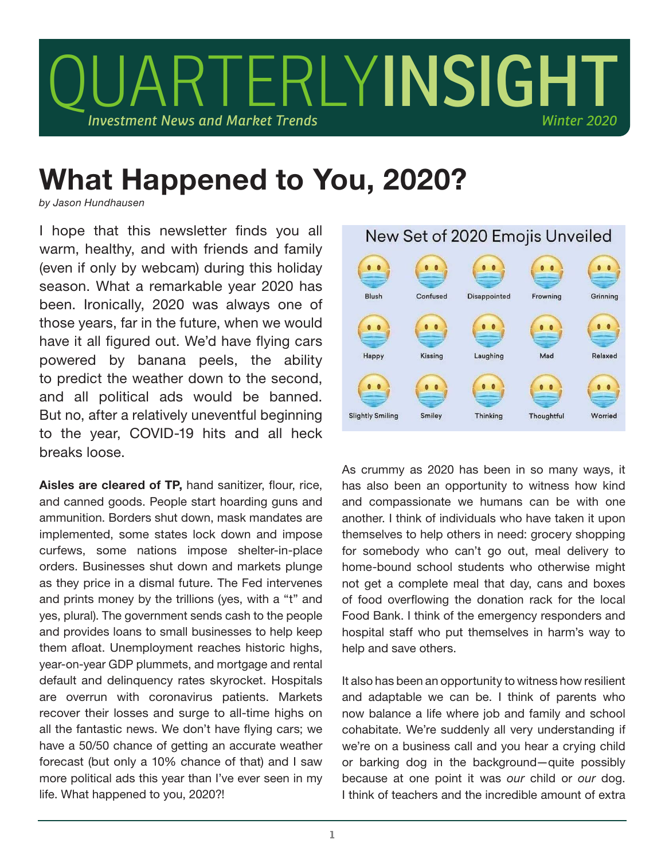

## What Happened to You, 2020?

*by Jason Hundhausen*

I hope that this newsletter finds you all warm, healthy, and with friends and family (even if only by webcam) during this holiday season. What a remarkable year 2020 has been. Ironically, 2020 was always one of those years, far in the future, when we would have it all figured out. We'd have flying cars powered by banana peels, the ability to predict the weather down to the second, and all political ads would be banned. But no, after a relatively uneventful beginning to the year, COVID-19 hits and all heck breaks loose.

Aisles are cleared of TP, hand sanitizer, flour, rice, and canned goods. People start hoarding guns and ammunition. Borders shut down, mask mandates are implemented, some states lock down and impose curfews, some nations impose shelter-in-place orders. Businesses shut down and markets plunge as they price in a dismal future. The Fed intervenes and prints money by the trillions (yes, with a "t" and yes, plural). The government sends cash to the people and provides loans to small businesses to help keep them afloat. Unemployment reaches historic highs, year-on-year GDP plummets, and mortgage and rental default and delinquency rates skyrocket. Hospitals are overrun with coronavirus patients. Markets recover their losses and surge to all-time highs on all the fantastic news. We don't have flying cars; we have a 50/50 chance of getting an accurate weather forecast (but only a 10% chance of that) and I saw more political ads this year than I've ever seen in my life. What happened to you, 2020?!



As crummy as 2020 has been in so many ways, it has also been an opportunity to witness how kind and compassionate we humans can be with one another. I think of individuals who have taken it upon themselves to help others in need: grocery shopping for somebody who can't go out, meal delivery to home-bound school students who otherwise might not get a complete meal that day, cans and boxes of food overflowing the donation rack for the local Food Bank. I think of the emergency responders and hospital staff who put themselves in harm's way to help and save others.

It also has been an opportunity to witness how resilient and adaptable we can be. I think of parents who now balance a life where job and family and school cohabitate. We're suddenly all very understanding if we're on a business call and you hear a crying child or barking dog in the background—quite possibly because at one point it was *our* child or *our* dog. I think of teachers and the incredible amount of extra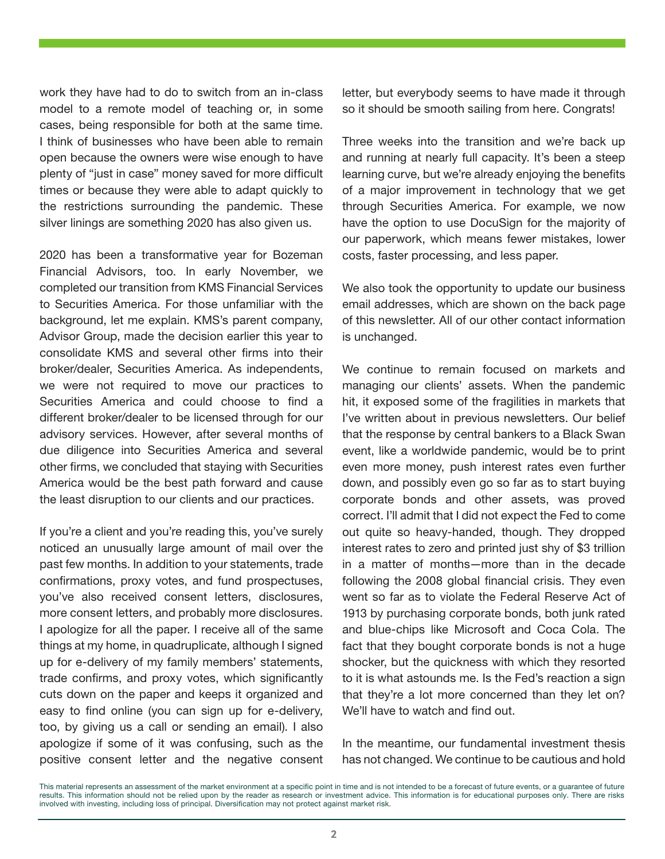work they have had to do to switch from an in-class model to a remote model of teaching or, in some cases, being responsible for both at the same time. I think of businesses who have been able to remain open because the owners were wise enough to have plenty of "just in case" money saved for more difficult times or because they were able to adapt quickly to the restrictions surrounding the pandemic. These silver linings are something 2020 has also given us.

2020 has been a transformative year for Bozeman Financial Advisors, too. In early November, we completed our transition from KMS Financial Services to Securities America. For those unfamiliar with the background, let me explain. KMS's parent company, Advisor Group, made the decision earlier this year to consolidate KMS and several other firms into their broker/dealer, Securities America. As independents, we were not required to move our practices to Securities America and could choose to find a different broker/dealer to be licensed through for our advisory services. However, after several months of due diligence into Securities America and several other firms, we concluded that staying with Securities America would be the best path forward and cause the least disruption to our clients and our practices.

If you're a client and you're reading this, you've surely noticed an unusually large amount of mail over the past few months. In addition to your statements, trade confirmations, proxy votes, and fund prospectuses, you've also received consent letters, disclosures, more consent letters, and probably more disclosures. I apologize for all the paper. I receive all of the same things at my home, in quadruplicate, although I signed up for e-delivery of my family members' statements, trade confirms, and proxy votes, which significantly cuts down on the paper and keeps it organized and easy to find online (you can sign up for e-delivery, too, by giving us a call or sending an email). I also apologize if some of it was confusing, such as the positive consent letter and the negative consent letter, but everybody seems to have made it through so it should be smooth sailing from here. Congrats!

Three weeks into the transition and we're back up and running at nearly full capacity. It's been a steep learning curve, but we're already enjoying the benefits of a major improvement in technology that we get through Securities America. For example, we now have the option to use DocuSian for the majority of our paperwork, which means fewer mistakes, lower costs, faster processing, and less paper.

We also took the opportunity to update our business email addresses, which are shown on the back page of this newsletter. All of our other contact information is unchanged.

We continue to remain focused on markets and managing our clients' assets. When the pandemic hit, it exposed some of the fragilities in markets that I've written about in previous newsletters. Our belief that the response by central bankers to a Black Swan event, like a worldwide pandemic, would be to print even more money, push interest rates even further down, and possibly even go so far as to start buying corporate bonds and other assets, was proved correct. I'll admit that I did not expect the Fed to come out quite so heavy-handed, though. They dropped interest rates to zero and printed just shy of \$3 trillion in a matter of months—more than in the decade following the 2008 global financial crisis. They even went so far as to violate the Federal Reserve Act of 1913 by purchasing corporate bonds, both junk rated and blue-chips like Microsoft and Coca Cola. The fact that they bought corporate bonds is not a huge shocker, but the quickness with which they resorted to it is what astounds me. Is the Fed's reaction a sign that they're a lot more concerned than they let on? We'll have to watch and find out.

In the meantime, our fundamental investment thesis has not changed. We continue to be cautious and hold

This material represents an assessment of the market environment at a specific point in time and is not intended to be a forecast of future events, or a guarantee of future results. This information should not be relied upon by the reader as research or investment advice. This information is for educational purposes only. There are risks involved with investing, including loss of principal. Diversification may not protect against market risk.